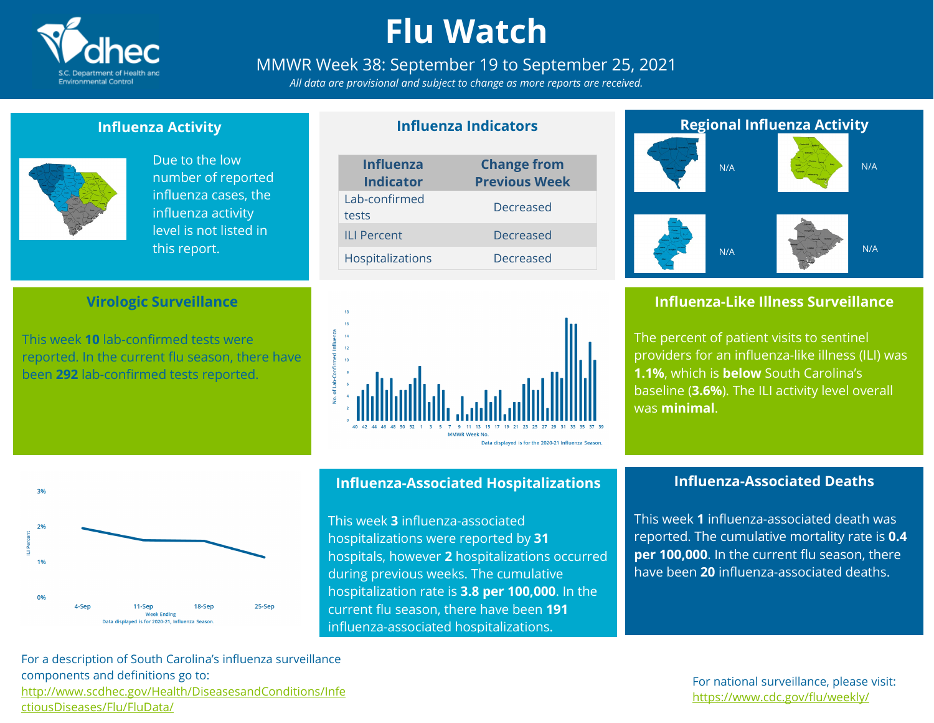

# **Flu Watch**

## MMWR Week 38: September 19 to September 25, 2021

*All data are provisional and subject to change as more reports are received.*

**Influenza Indicators**

## **Influenza Activity**



Due to the low number of reported influenza cases, the influenza activity level is not listed in this report.

### **Virologic Surveillance**

This week **10** lab-confirmed tests were reported. In the current flu season, there have been **292** lab-confirmed tests reported.

| <b>Influenza</b><br><b>Indicator</b> | <b>Change from</b><br><b>Previous Week</b> |
|--------------------------------------|--------------------------------------------|
| Lab-confirmed<br>tests               | Decreased                                  |
| <b>ILI Percent</b>                   | Decreased                                  |
| Hospitalizations                     | Decreased                                  |



#### $3%$ 2% 1%  $0%$ 25-Sep 4-Ser  $11-Sen$ 18-Sep **Week Ending** Data displayed is for 2020-21. Influenza Seasor

### **Influenza-Associated Hospitalizations**

This week **3** influenza-associated hospitalizations were reported by **31** hospitals, however **2** hospitalizations occurred during previous weeks. The cumulative hospitalization rate is **3.8 per 100,000**. In the current flu season, there have been **191** influenza-associated hospitalizations.



## **Influenza-Like Illness Surveillance**

The percent of patient visits to sentinel providers for an influenza-like illness (ILI) was **1.1%**, which is **below** South Carolina's baseline (**3.6%**). The ILI activity level overall was **minimal**.

## **Influenza-Associated Deaths**

This week **1** influenza-associated death was reported. The cumulative mortality rate is **0.4 per 100,000**. In the current flu season, there have been **20** influenza-associated deaths.

For a description of South Carolina's influenza surveillance components and definitions go to: [http://www.scdhec.gov/Health/DiseasesandConditions/Infe](http://www.scdhec.gov/Health/DiseasesandConditions/InfectiousDiseases/Flu/FluData/) [ctiousDiseases/Flu/FluData/](http://www.scdhec.gov/Health/DiseasesandConditions/InfectiousDiseases/Flu/FluData/)

For national surveillance, please visit: <https://www.cdc.gov/flu/weekly/>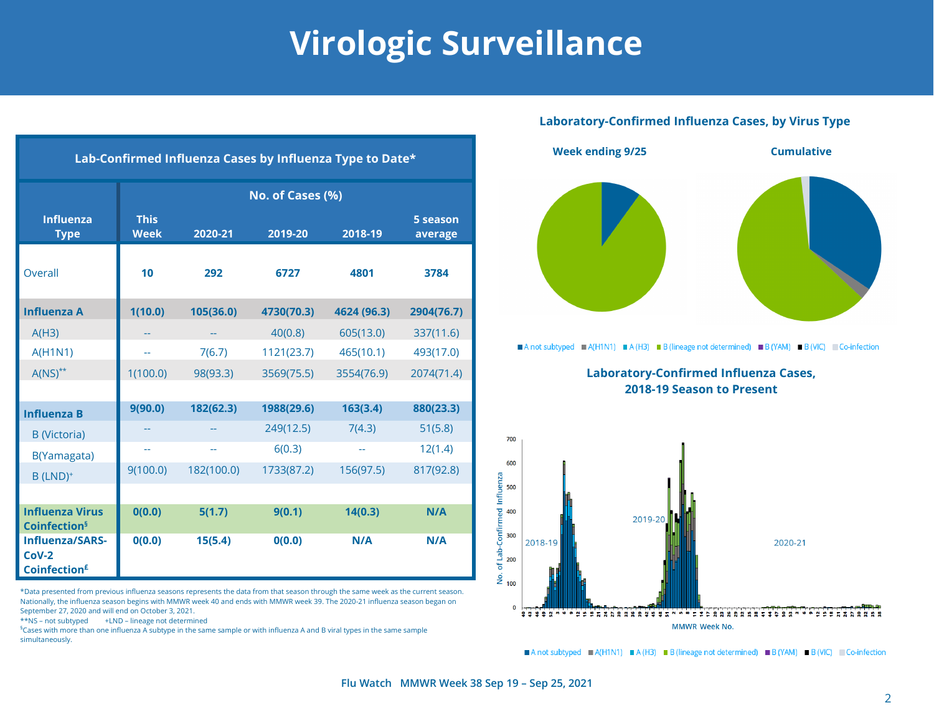# **Virologic Surveillance**

#### **Laboratory-Confirmed Influenza Cases, by Virus Type**



Anot subtyped A(H1N1) A (H3) B (lineage not determined) B (YAM) B (VIC) Co-infection

**Laboratory-Confirmed Influenza Cases, 2018-19 Season to Present**



A not subtyped A (H1N1) A (H3) B (lineage not determined) B (YAM) B (VIC) Co-infection

| Lab-Confirmed Influenza Cases by Influenza Type to Date*             |                            |            |            |             |                     |  |  |  |  |
|----------------------------------------------------------------------|----------------------------|------------|------------|-------------|---------------------|--|--|--|--|
|                                                                      | No. of Cases (%)           |            |            |             |                     |  |  |  |  |
| <b>Influenza</b><br><b>Type</b>                                      | <b>This</b><br><b>Week</b> | 2020-21    | 2019-20    | 2018-19     | 5 season<br>average |  |  |  |  |
| Overall                                                              | 10                         | 292        | 6727       | 4801        | 3784                |  |  |  |  |
| <b>Influenza A</b>                                                   | 1(10.0)                    | 105(36.0)  | 4730(70.3) | 4624 (96.3) | 2904(76.7)          |  |  |  |  |
| A(H3)                                                                |                            | --         | 40(0.8)    | 605(13.0)   | 337(11.6)           |  |  |  |  |
| <b>A(H1N1)</b>                                                       |                            | 7(6.7)     | 1121(23.7) | 465(10.1)   | 493(17.0)           |  |  |  |  |
| $A(NS)^{**}$                                                         | 1(100.0)                   | 98(93.3)   | 3569(75.5) | 3554(76.9)  | 2074(71.4)          |  |  |  |  |
|                                                                      |                            |            |            |             |                     |  |  |  |  |
| <b>Influenza B</b>                                                   | 9(90.0)                    | 182(62.3)  | 1988(29.6) | 163(3.4)    | 880(23.3)           |  |  |  |  |
| <b>B</b> (Victoria)                                                  |                            |            | 249(12.5)  | 7(4.3)      | 51(5.8)             |  |  |  |  |
| B(Yamagata)                                                          | --                         | --         | 6(0.3)     | --          | 12(1.4)             |  |  |  |  |
| $B$ (LND) <sup>+</sup>                                               | 9(100.0)                   | 182(100.0) | 1733(87.2) | 156(97.5)   | 817(92.8)           |  |  |  |  |
|                                                                      |                            |            |            |             |                     |  |  |  |  |
| <b>Influenza Virus</b><br><b>Coinfection</b> <sup>§</sup>            | 0(0.0)                     | 5(1.7)     | 9(0.1)     | 14(0.3)     | N/A                 |  |  |  |  |
| <b>Influenza/SARS-</b><br>$Cov-2$<br><b>Coinfection</b> <sup>£</sup> | 0(0.0)                     | 15(5.4)    | O(0.0)     | N/A         | N/A                 |  |  |  |  |

\*Data presented from previous influenza seasons represents the data from that season through the same week as the current season. Nationally, the influenza season begins with MMWR week 40 and ends with MMWR week 39. The 2020-21 influenza season began on September 27, 2020 and will end on October 3, 2021.

\*\*NS – not subtyped +LND – lineage not determined

§ Cases with more than one influenza A subtype in the same sample or with influenza A and B viral types in the same sample simultaneously.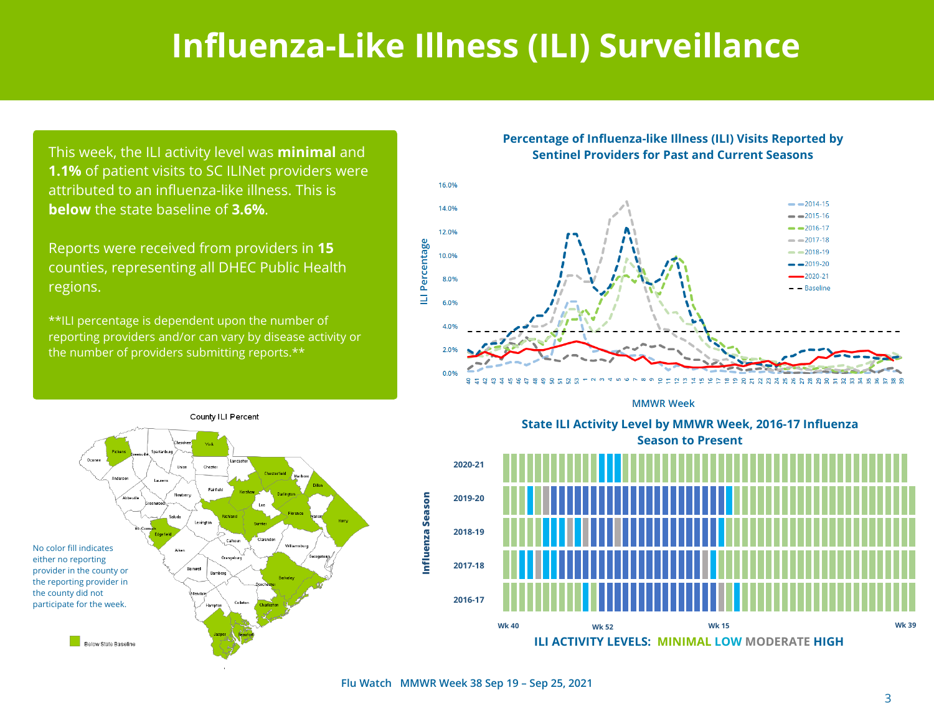## **Influenza-Like Illness (ILI) Surveillance**

This week, the ILI activity level was **minimal** and **1.1%** of patient visits to SC ILINet providers were attributed to an influenza-like illness. This is **below** the state baseline of **3.6%**.

Reports were received from providers in **15** counties, representing all DHEC Public Health regions.

\*\*ILI percentage is dependent upon the number of reporting providers and/or can vary by disease activity or the number of providers submitting reports.\*\*

### **Percentage of Influenza-like Illness (ILI) Visits Reported by Sentinel Providers for Past and Current Seasons**



**MMWR Week** 





**ILI ACTIVITY LEVELS: MINIMAL LOW MODERATE HIGH**